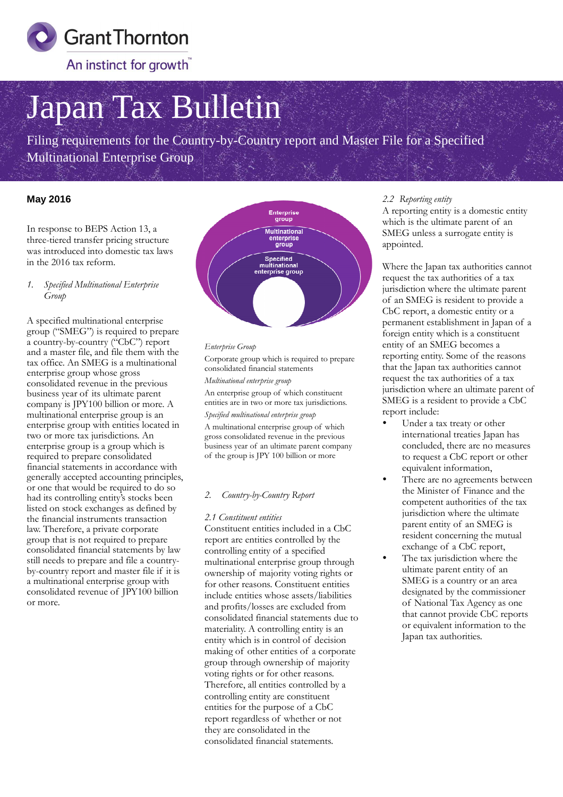

# Japan Tax Bulletin

Filing requirements for the Country-by-Country report and Master File for a Specified Multinational Enterprise Group

### **May 2016**

In response to BEPS Action 13, a three-tiered transfer pricing structure was introduced into domestic tax laws in the 2016 tax reform.

*1. Specified Multinational Enterprise Group*

A specified multinational enterprise group ("SMEG") is required to prepare a country-by-country ("CbC") report and a master file, and file them with the tax office. An SMEG is a multinational enterprise group whose gross consolidated revenue in the previous business year of its ultimate parent company is JPY100 billion or more. A multinational enterprise group is an enterprise group with entities located in two or more tax jurisdictions. An enterprise group is a group which is required to prepare consolidated financial statements in accordance with generally accepted accounting principles, or one that would be required to do so had its controlling entity's stocks been listed on stock exchanges as defined by the financial instruments transaction law. Therefore, a private corporate group that is not required to prepare consolidated financial statements by law still needs to prepare and file a countryby-country report and master file if it is a multinational enterprise group with consolidated revenue of JPY100 billion or more.



#### *Enterprise Group*

Corporate group which is required to prepare consolidated financial statements

*Multinational enterprise group*

An enterprise group of which constituent entities are in two or more tax jurisdictions. *Specified multinational enterprise group*

A multinational enterprise group of which gross consolidated revenue in the previous business year of an ultimate parent company of the group is JPY 100 billion or more

#### *2. Country-by-Country Report*

#### *2.1 Constituent entities*

Constituent entities included in a CbC report are entities controlled by the controlling entity of a specified multinational enterprise group through ownership of majority voting rights or for other reasons. Constituent entities include entities whose assets/liabilities and profits/losses are excluded from consolidated financial statements due to materiality. A controlling entity is an entity which is in control of decision making of other entities of a corporate group through ownership of majority voting rights or for other reasons. Therefore, all entities controlled by a controlling entity are constituent entities for the purpose of a CbC report regardless of whether or not they are consolidated in the consolidated financial statements.

#### *2.2 Reporting entity*

A reporting entity is a domestic entity which is the ultimate parent of an SMEG unless a surrogate entity is appointed.

Where the Japan tax authorities cannot request the tax authorities of a tax jurisdiction where the ultimate parent of an SMEG is resident to provide a CbC report, a domestic entity or a permanent establishment in Japan of a<br>foreign entity which is a constituent foreign entity which is a constituent entity of an SMEG becomes a reporting entity. Some of the reasons that the Japan tax authorities cannot that the Japan tax authorities canne<br>request the tax authorities of a tax jurisdiction where an ultimate parent of SMEG is a resident to provide a CbC report include: unless a surrogate entity is<br>ed.<br>the Japan tax authorities ca<br>the tax authorities of a tax

- Under a tax treaty or other international treaties Japan has concluded, there are no measures to request a CbC report or other equivalent information,
- There are no agreements between the Minister of Finance and the competent authorities of the tax jurisdiction where the ultimate jurisdiction where the ultimate<br>parent entity of an SMEG is resident concerning the mutual exchange of a CbC report,
- The tax jurisdiction where the resident concerning the mut<br>exchange of a CbC report,<br>The tax jurisdiction where the<br>ultimate parent entity of an SMEG is a country or an area designated by the commissioner of National Tax Agency as one that cannot provide CbC reports<br>or equivalent information to the or equivalent information to the Japan tax authorities.